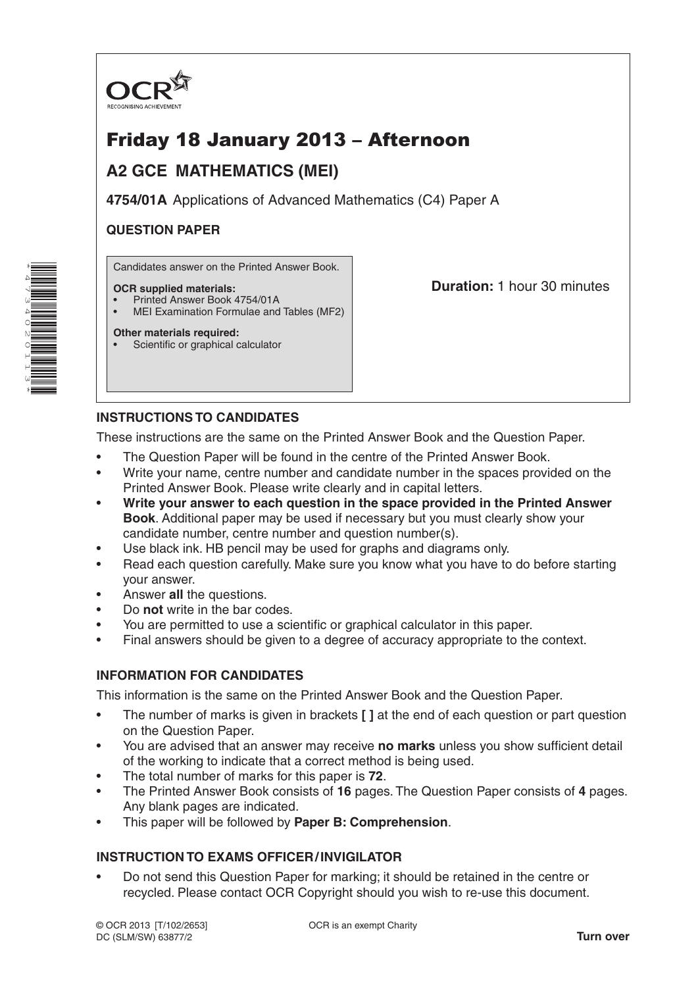

# Friday 18 January 2013 – Afternoon

## **A2 GCE MATHEMATICS (MEI)**

**4754/01A** Applications of Advanced Mathematics (C4) Paper A

## **QUESTION PAPER**

Candidates answer on the Printed Answer Book.

### **OCR supplied materials:**

- Printed Answer Book 4754/01A
- MEI Examination Formulae and Tables (MF2)

**Duration:** 1 hour 30 minutes

#### **Other materials required:** Scientific or graphical calculator

## **INSTRUCTIONS TO CANDIDATES**

These instructions are the same on the Printed Answer Book and the Question Paper.

- The Question Paper will be found in the centre of the Printed Answer Book.
- Write your name, centre number and candidate number in the spaces provided on the Printed Answer Book. Please write clearly and in capital letters.
- **Write your answer to each question in the space provided in the Printed Answer Book**. Additional paper may be used if necessary but you must clearly show your candidate number, centre number and question number(s).
- Use black ink. HB pencil may be used for graphs and diagrams only.
- Read each question carefully. Make sure you know what you have to do before starting your answer.
- Answer **all** the questions.
- Do **not** write in the bar codes.
- You are permitted to use a scientific or graphical calculator in this paper.
- Final answers should be given to a degree of accuracy appropriate to the context.

### **INFORMATION FOR CANDIDATES**

This information is the same on the Printed Answer Book and the Question Paper.

- The number of marks is given in brackets **[ ]** at the end of each question or part question on the Question Paper.
- You are advised that an answer may receive **no marks** unless you show sufficient detail of the working to indicate that a correct method is being used.
- The total number of marks for this paper is **72**.
- The Printed Answer Book consists of **16** pages. The Question Paper consists of **4** pages. Any blank pages are indicated.
- This paper will be followed by **Paper B: Comprehension**.

## **INSTRUCTION TO EXAMS OFFICER/INVIGILATOR**

• Do not send this Question Paper for marking; it should be retained in the centre or recycled. Please contact OCR Copyright should you wish to re-use this document.

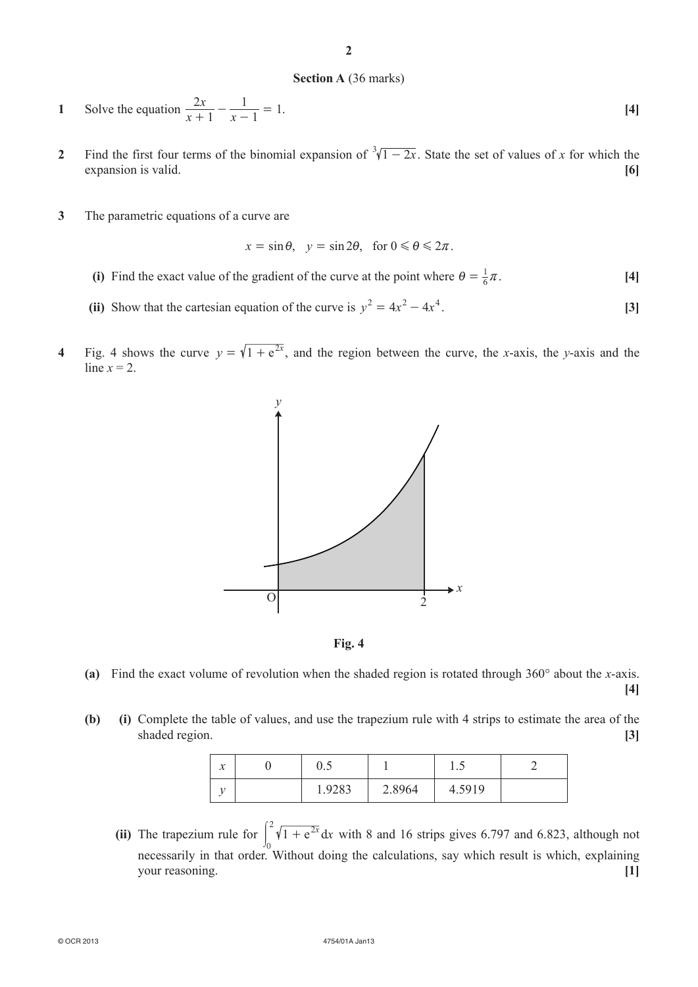#### **Section A** (36 marks)

**1** Solve the equation  $\frac{2x}{x+1}$  $\frac{x}{1} - \frac{y}{x}$ 2  $\frac{2x}{x+1} - \frac{1}{x-1} = 1.$  [4]

- **2** Find the first four terms of the binomial expansion of  $\sqrt[3]{1-2x}$ . State the set of values of *x* for which the expansion is valid. **[6]**
- **3** The parametric equations of a curve are

$$
x = \sin \theta
$$
,  $y = \sin 2\theta$ , for  $0 \le \theta \le 2\pi$ .

- (i) Find the exact value of the gradient of the curve at the point where  $\theta = \frac{1}{6}\pi$ . [4]
- (ii) Show that the cartesian equation of the curve is  $y^2 = 4x^2 4x^4$ . [3]
- **4** Fig. 4 shows the curve  $y = \sqrt{1 + e^{2x}}$ , and the region between the curve, the *x*-axis, the *y*-axis and the line  $x = 2$ .





- **(a)** Find the exact volume of revolution when the shaded region is rotated through 360° about the *x*-axis.
	- **[4]**
- **(b) (i)** Complete the table of values, and use the trapezium rule with 4 strips to estimate the area of the shaded region. **[3]**

| $\bullet$<br>$\lambda$ | ∪.∪    |        | $\cdot \cdot$ |  |
|------------------------|--------|--------|---------------|--|
|                        | 1.9283 | 2.8964 | 4.5919        |  |

**(ii)** The trapezium rule for  $\int_0^2 \sqrt{1 + e^{2x}} dx$ 0  $\int_{0}^{2} \sqrt{1 + e^{2x}} dx$  with 8 and 16 strips gives 6.797 and 6.823, although not necessarily in that order. Without doing the calculations, say which result is which, explaining *Solution reasoning. [1]*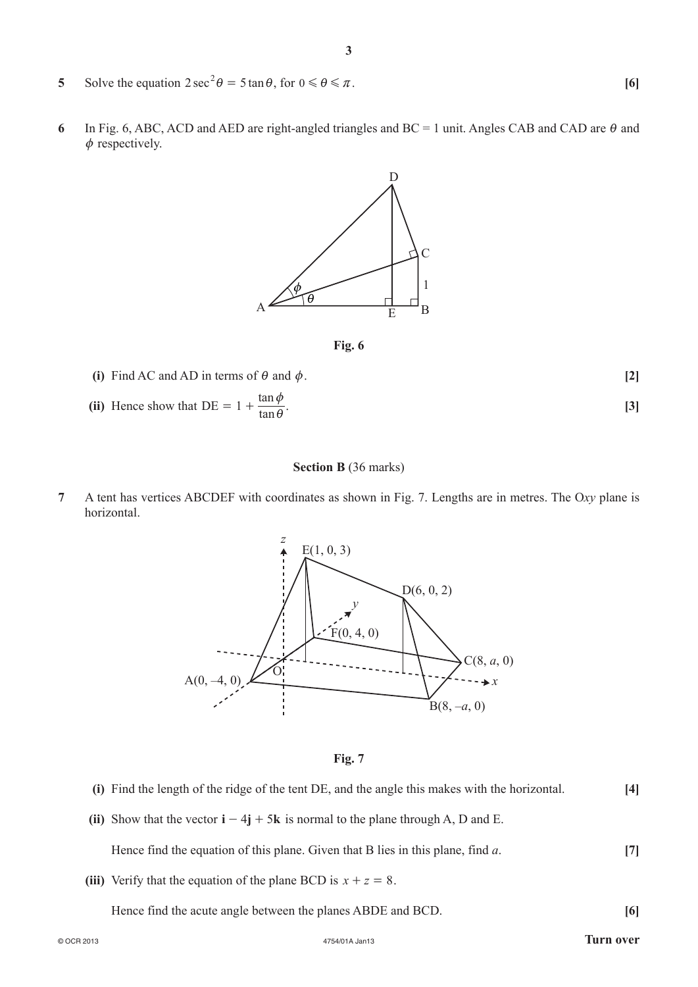- **5** Solve the equation  $2 \sec^2 \theta = 5 \tan \theta$ , for  $0 \le \theta \le \pi$ . [6]
- **6** In Fig. 6, ABC, ACD and AED are right-angled triangles and  $BC = 1$  unit. Angles CAB and CAD are  $\theta$  and  $\phi$  respectively.



**Fig. 6**

(i) Find AC and AD in terms of  $\theta$  and  $\phi$ . [2] (ii) Hence show that  $DE = 1 + \frac{\tan \theta}{\tan \theta}$  $= 1 + \frac{\tan \phi}{\tan \theta}$ . [3]

#### **Section B** (36 marks)

**7** A tent has vertices ABCDEF with coordinates as shown in Fig. 7. Lengths are in metres. The O*xy* plane is horizontal.



**Fig. 7**

- **(i)** Find the length of the ridge of the tent DE, and the angle this makes with the horizontal. **[4]**
- (ii) Show that the vector  $\mathbf{i} 4\mathbf{j} + 5\mathbf{k}$  is normal to the plane through A, D and E.

Hence find the equation of this plane. Given that B lies in this plane, find *a*. **[7]**

- (iii) Verify that the equation of the plane BCD is  $x + z = 8$ .
	- Hence find the acute angle between the planes ABDE and BCD. **[6]**